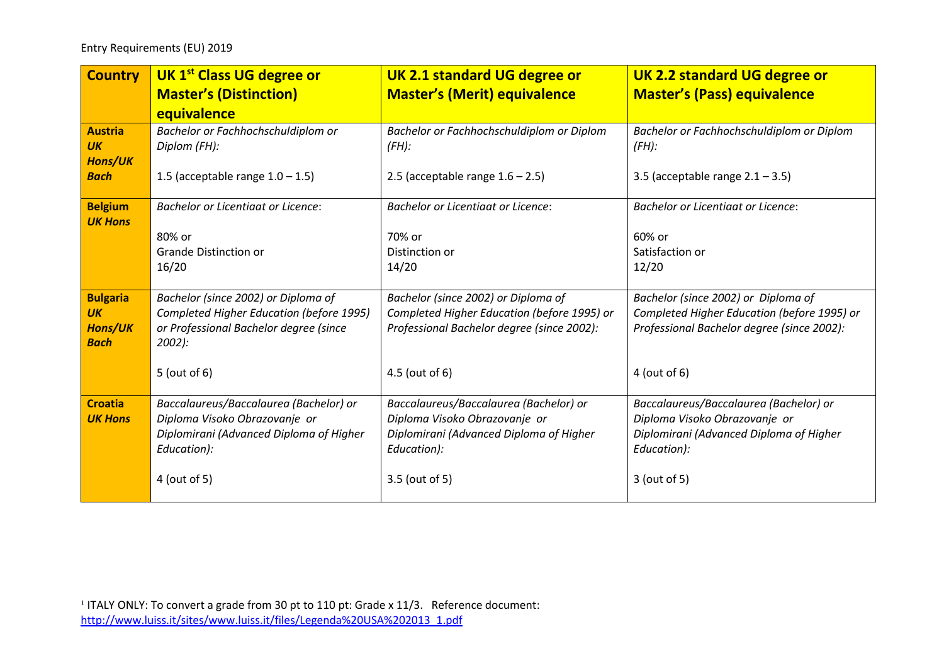| <b>Country</b>                                | <b>UK 1st Class UG degree or</b>                   | <b>UK 2.1 standard UG degree or</b>                   | <b>UK 2.2 standard UG degree or</b>                   |
|-----------------------------------------------|----------------------------------------------------|-------------------------------------------------------|-------------------------------------------------------|
|                                               | <b>Master's (Distinction)</b>                      | <b>Master's (Merit) equivalence</b>                   | <b>Master's (Pass) equivalence</b>                    |
|                                               | equivalence                                        |                                                       |                                                       |
| <b>Austria</b><br><b>UK</b><br><b>Hons/UK</b> | Bachelor or Fachhochschuldiplom or<br>Diplom (FH): | Bachelor or Fachhochschuldiplom or Diplom<br>$(FH)$ : | Bachelor or Fachhochschuldiplom or Diplom<br>$(FH)$ : |
| <b>Bach</b>                                   | 1.5 (acceptable range $1.0 - 1.5$ )                | 2.5 (acceptable range $1.6 - 2.5$ )                   | 3.5 (acceptable range $2.1 - 3.5$ )                   |
| <b>Belgium</b><br><b>UK Hons</b>              | <b>Bachelor or Licentiaat or Licence:</b>          | <b>Bachelor or Licentiaat or Licence:</b>             | <b>Bachelor or Licentiaat or Licence:</b>             |
|                                               | 80% or                                             | 70% or                                                | 60% or                                                |
|                                               | <b>Grande Distinction or</b>                       | Distinction or                                        | Satisfaction or                                       |
|                                               | 16/20                                              | 14/20                                                 | 12/20                                                 |
| <b>Bulgaria</b>                               | Bachelor (since 2002) or Diploma of                | Bachelor (since 2002) or Diploma of                   | Bachelor (since 2002) or Diploma of                   |
| <b>UK</b>                                     | Completed Higher Education (before 1995)           | Completed Higher Education (before 1995) or           | Completed Higher Education (before 1995) or           |
| <b>Hons/UK</b><br><b>Bach</b>                 | or Professional Bachelor degree (since<br>$2002$ : | Professional Bachelor degree (since 2002):            | Professional Bachelor degree (since 2002):            |
|                                               | $5$ (out of 6)                                     | 4.5 (out of 6)                                        | $4$ (out of 6)                                        |
| <b>Croatia</b>                                | Baccalaureus/Baccalaurea (Bachelor) or             | Baccalaureus/Baccalaurea (Bachelor) or                | Baccalaureus/Baccalaurea (Bachelor) or                |
| <b>UK Hons</b>                                | Diploma Visoko Obrazovanje or                      | Diploma Visoko Obrazovanje or                         | Diploma Visoko Obrazovanje or                         |
|                                               | Diplomirani (Advanced Diploma of Higher            | Diplomirani (Advanced Diploma of Higher               | Diplomirani (Advanced Diploma of Higher               |
|                                               | Education):                                        | Education):                                           | Education):                                           |
|                                               | 4 (out of 5)                                       | 3.5 (out of 5)                                        | 3 (out of 5)                                          |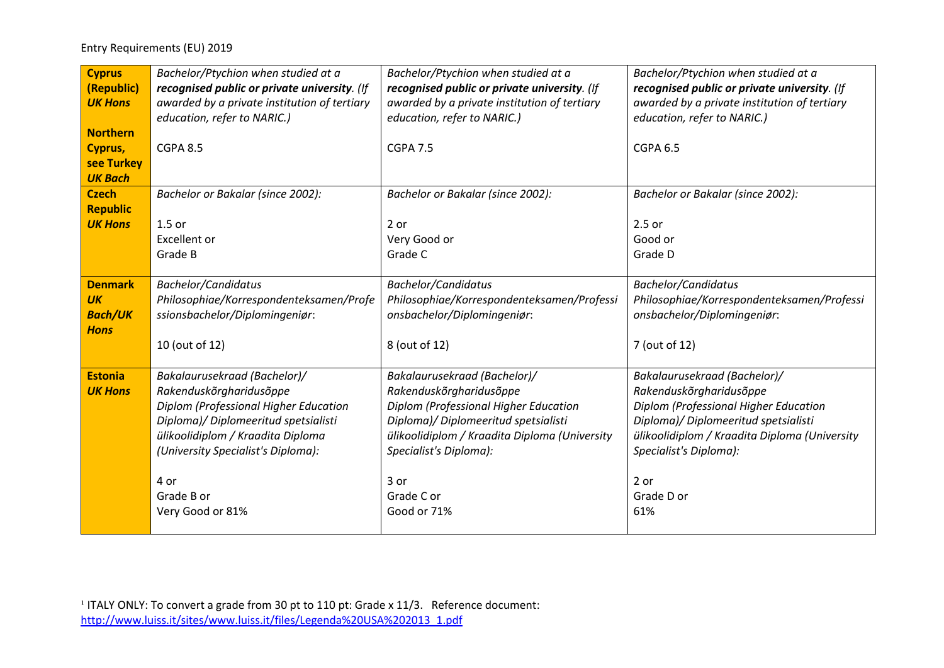| <b>Cyprus</b><br>(Republic)<br><b>UK Hons</b>                | Bachelor/Ptychion when studied at a<br>recognised public or private university. (If<br>awarded by a private institution of tertiary<br>education, refer to NARIC.)                                                                                            | Bachelor/Ptychion when studied at a<br>recognised public or private university. (If<br>awarded by a private institution of tertiary<br>education, refer to NARIC.)                                                                                       | Bachelor/Ptychion when studied at a<br>recognised public or private university. (If<br>awarded by a private institution of tertiary<br>education, refer to NARIC.)                                                                               |
|--------------------------------------------------------------|---------------------------------------------------------------------------------------------------------------------------------------------------------------------------------------------------------------------------------------------------------------|----------------------------------------------------------------------------------------------------------------------------------------------------------------------------------------------------------------------------------------------------------|--------------------------------------------------------------------------------------------------------------------------------------------------------------------------------------------------------------------------------------------------|
| <b>Northern</b><br>Cyprus,<br>see Turkey<br><b>UK Bach</b>   | <b>CGPA 8.5</b>                                                                                                                                                                                                                                               | <b>CGPA 7.5</b>                                                                                                                                                                                                                                          | <b>CGPA 6.5</b>                                                                                                                                                                                                                                  |
| <b>Czech</b><br><b>Republic</b><br><b>UK Hons</b>            | Bachelor or Bakalar (since 2002):<br>$1.5$ or<br><b>Excellent</b> or<br>Grade B                                                                                                                                                                               | Bachelor or Bakalar (since 2002):<br>$2$ or<br>Very Good or<br>Grade C                                                                                                                                                                                   | Bachelor or Bakalar (since 2002):<br>2.5 or<br>Good or<br>Grade D                                                                                                                                                                                |
| <b>Denmark</b><br><b>UK</b><br><b>Bach/UK</b><br><b>Hons</b> | <b>Bachelor/Candidatus</b><br>Philosophiae/Korrespondenteksamen/Profe<br>ssionsbachelor/Diplomingeniør:<br>10 (out of 12)                                                                                                                                     | <b>Bachelor/Candidatus</b><br>Philosophiae/Korrespondenteksamen/Professi<br>onsbachelor/Diplomingeniør:<br>8 (out of 12)                                                                                                                                 | <b>Bachelor/Candidatus</b><br>Philosophiae/Korrespondenteksamen/Professi<br>onsbachelor/Diplomingeniør:<br>7 (out of 12)                                                                                                                         |
| <b>Estonia</b><br><b>UK Hons</b>                             | Bakalaurusekraad (Bachelor)/<br>Rakenduskõrgharidusõppe<br>Diplom (Professional Higher Education<br>Diploma)/ Diplomeeritud spetsialisti<br>ülikoolidiplom / Kraadita Diploma<br>(University Specialist's Diploma):<br>4 or<br>Grade B or<br>Very Good or 81% | Bakalaurusekraad (Bachelor)/<br>Rakenduskõrgharidusõppe<br>Diplom (Professional Higher Education<br>Diploma)/ Diplomeeritud spetsialisti<br>ülikoolidiplom / Kraadita Diploma (University<br>Specialist's Diploma):<br>3 or<br>Grade C or<br>Good or 71% | Bakalaurusekraad (Bachelor)/<br>Rakenduskõrgharidusõppe<br>Diplom (Professional Higher Education<br>Diploma)/ Diplomeeritud spetsialisti<br>ülikoolidiplom / Kraadita Diploma (University<br>Specialist's Diploma):<br>2 or<br>Grade D or<br>61% |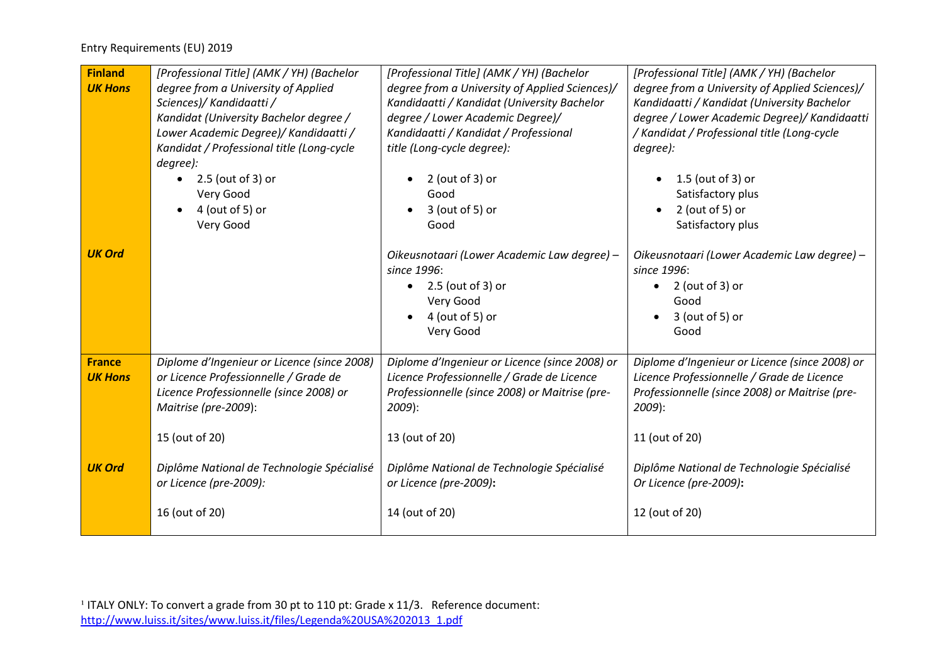| <b>Finland</b><br><b>UK Hons</b> | [Professional Title] (AMK / YH) (Bachelor<br>degree from a University of Applied<br>Sciences)/ Kandidaatti /<br>Kandidat (University Bachelor degree /<br>Lower Academic Degree)/ Kandidaatti /<br>Kandidat / Professional title (Long-cycle<br>degree): | [Professional Title] (AMK / YH) (Bachelor<br>degree from a University of Applied Sciences)/<br>Kandidaatti / Kandidat (University Bachelor<br>degree / Lower Academic Degree)/<br>Kandidaatti / Kandidat / Professional<br>title (Long-cycle degree): | [Professional Title] (AMK / YH) (Bachelor<br>degree from a University of Applied Sciences)/<br>Kandidaatti / Kandidat (University Bachelor<br>degree / Lower Academic Degree)/ Kandidaatti<br>/ Kandidat / Professional title (Long-cycle<br>degree): |
|----------------------------------|----------------------------------------------------------------------------------------------------------------------------------------------------------------------------------------------------------------------------------------------------------|-------------------------------------------------------------------------------------------------------------------------------------------------------------------------------------------------------------------------------------------------------|-------------------------------------------------------------------------------------------------------------------------------------------------------------------------------------------------------------------------------------------------------|
|                                  | 2.5 (out of 3) or<br>$\bullet$<br>Very Good<br>4 (out of 5) or<br>Very Good                                                                                                                                                                              | $2$ (out of 3) or<br>Good<br>$3$ (out of 5) or<br>Good                                                                                                                                                                                                | $1.5$ (out of 3) or<br>Satisfactory plus<br>$2$ (out of 5) or<br>$\bullet$<br>Satisfactory plus                                                                                                                                                       |
| <b>UK Ord</b>                    |                                                                                                                                                                                                                                                          | Oikeusnotaari (Lower Academic Law degree) -<br>since 1996:<br>2.5 (out of 3) or<br>Very Good<br>4 (out of 5) or<br>Very Good                                                                                                                          | Oikeusnotaari (Lower Academic Law degree) -<br>since 1996:<br>$2$ (out of 3) or<br>Good<br>$3$ (out of 5) or<br>Good                                                                                                                                  |
| <b>France</b><br><b>UK Hons</b>  | Diplome d'Ingenieur or Licence (since 2008)<br>or Licence Professionnelle / Grade de<br>Licence Professionnelle (since 2008) or<br>Maitrise (pre-2009):<br>15 (out of 20)                                                                                | Diplome d'Ingenieur or Licence (since 2008) or<br>Licence Professionnelle / Grade de Licence<br>Professionnelle (since 2008) or Maitrise (pre-<br>2009):<br>13 (out of 20)                                                                            | Diplome d'Ingenieur or Licence (since 2008) or<br>Licence Professionnelle / Grade de Licence<br>Professionnelle (since 2008) or Maitrise (pre-<br>2009):<br>11 (out of 20)                                                                            |
| <b>UK Ord</b>                    | Diplôme National de Technologie Spécialisé<br>or Licence (pre-2009):<br>16 (out of 20)                                                                                                                                                                   | Diplôme National de Technologie Spécialisé<br>or Licence (pre-2009):<br>14 (out of 20)                                                                                                                                                                | Diplôme National de Technologie Spécialisé<br>Or Licence (pre-2009):<br>12 (out of 20)                                                                                                                                                                |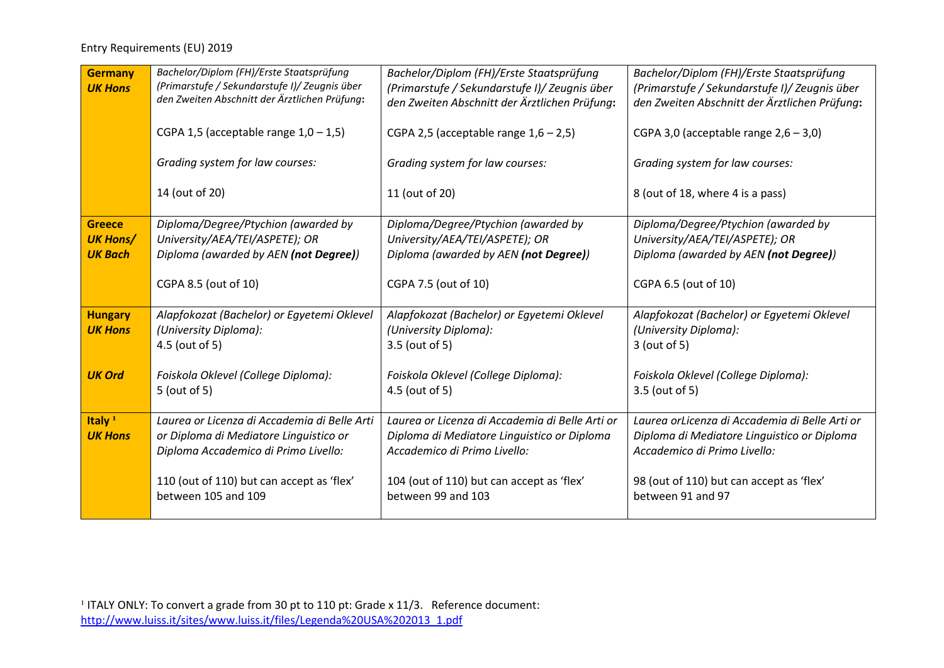| <b>Germany</b><br><b>UK Hons</b>     | Bachelor/Diplom (FH)/Erste Staatsprüfung<br>(Primarstufe / Sekundarstufe I)/ Zeugnis über | Bachelor/Diplom (FH)/Erste Staatsprüfung<br>(Primarstufe / Sekundarstufe I)/ Zeugnis über      | Bachelor/Diplom (FH)/Erste Staatsprüfung<br>(Primarstufe / Sekundarstufe I)/ Zeugnis über     |
|--------------------------------------|-------------------------------------------------------------------------------------------|------------------------------------------------------------------------------------------------|-----------------------------------------------------------------------------------------------|
|                                      | den Zweiten Abschnitt der Ärztlichen Prüfung:                                             | den Zweiten Abschnitt der Ärztlichen Prüfung:                                                  | den Zweiten Abschnitt der Ärztlichen Prüfung:                                                 |
|                                      | CGPA 1,5 (acceptable range $1,0-1,5$ )                                                    | CGPA 2,5 (acceptable range $1,6 - 2,5$ )                                                       | CGPA 3,0 (acceptable range $2,6-3,0$ )                                                        |
|                                      | Grading system for law courses:                                                           | Grading system for law courses:                                                                | Grading system for law courses:                                                               |
|                                      | 14 (out of 20)                                                                            | 11 (out of 20)                                                                                 | 8 (out of 18, where 4 is a pass)                                                              |
| <b>Greece</b><br><b>UK Hons/</b>     | Diploma/Degree/Ptychion (awarded by<br>University/AEA/TEI/ASPETE); OR                     | Diploma/Degree/Ptychion (awarded by<br>University/AEA/TEI/ASPETE); OR                          | Diploma/Degree/Ptychion (awarded by<br>University/AEA/TEI/ASPETE); OR                         |
| <b>UK Bach</b>                       | Diploma (awarded by AEN (not Degree))                                                     | Diploma (awarded by AEN (not Degree))                                                          | Diploma (awarded by AEN (not Degree))                                                         |
|                                      | CGPA 8.5 (out of 10)                                                                      | CGPA 7.5 (out of 10)                                                                           | CGPA 6.5 (out of 10)                                                                          |
| <b>Hungary</b><br><b>UK Hons</b>     | Alapfokozat (Bachelor) or Egyetemi Oklevel<br>(University Diploma):                       | Alapfokozat (Bachelor) or Egyetemi Oklevel<br>(University Diploma):                            | Alapfokozat (Bachelor) or Egyetemi Oklevel<br>(University Diploma):                           |
|                                      | 4.5 (out of 5)                                                                            | 3.5 (out of 5)                                                                                 | 3 (out of 5)                                                                                  |
| <b>UK Ord</b>                        | Foiskola Oklevel (College Diploma):                                                       | Foiskola Oklevel (College Diploma):                                                            | Foiskola Oklevel (College Diploma):                                                           |
|                                      | 5 (out of 5)                                                                              | 4.5 (out of 5)                                                                                 | 3.5 (out of 5)                                                                                |
| Italy <sup>1</sup><br><b>UK Hons</b> | Laurea or Licenza di Accademia di Belle Arti<br>or Diploma di Mediatore Linguistico or    | Laurea or Licenza di Accademia di Belle Arti or<br>Diploma di Mediatore Linguistico or Diploma | Laurea orLicenza di Accademia di Belle Arti or<br>Diploma di Mediatore Linguistico or Diploma |
|                                      | Diploma Accademico di Primo Livello:                                                      | Accademico di Primo Livello:                                                                   | Accademico di Primo Livello:                                                                  |
|                                      | 110 (out of 110) but can accept as 'flex'<br>between 105 and 109                          | 104 (out of 110) but can accept as 'flex'<br>between 99 and 103                                | 98 (out of 110) but can accept as 'flex'<br>between 91 and 97                                 |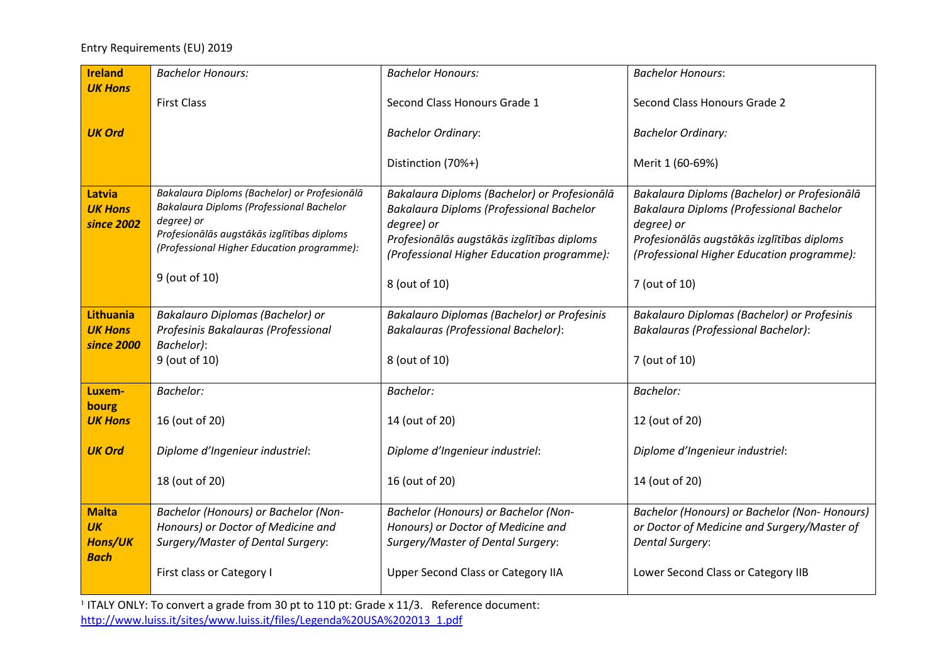| <b>Ireland</b>                                      | <b>Bachelor Honours:</b>                                                                                                                                                                                            | <b>Bachelor Honours:</b>                                                                                                                                                                                            | <b>Bachelor Honours:</b>                                                                                                                                                                                                   |
|-----------------------------------------------------|---------------------------------------------------------------------------------------------------------------------------------------------------------------------------------------------------------------------|---------------------------------------------------------------------------------------------------------------------------------------------------------------------------------------------------------------------|----------------------------------------------------------------------------------------------------------------------------------------------------------------------------------------------------------------------------|
| <b>UK Hons</b>                                      | <b>First Class</b>                                                                                                                                                                                                  | Second Class Honours Grade 1                                                                                                                                                                                        | Second Class Honours Grade 2                                                                                                                                                                                               |
| <b>UK Ord</b>                                       |                                                                                                                                                                                                                     | <b>Bachelor Ordinary:</b>                                                                                                                                                                                           | <b>Bachelor Ordinary:</b>                                                                                                                                                                                                  |
|                                                     |                                                                                                                                                                                                                     | Distinction (70%+)                                                                                                                                                                                                  | Merit 1 (60-69%)                                                                                                                                                                                                           |
| Latvia<br><b>UK Hons</b><br>since 2002              | Bakalaura Diploms (Bachelor) or Profesionālā<br>Bakalaura Diploms (Professional Bachelor<br>degree) or<br>Profesionālās augstākās izglītības diploms<br>(Professional Higher Education programme):<br>9 (out of 10) | Bakalaura Diploms (Bachelor) or Profesionālā<br>Bakalaura Diploms (Professional Bachelor<br>degree) or<br>Profesionālās augstākās izglītības diploms<br>(Professional Higher Education programme):<br>8 (out of 10) | Bakalaura Diploms (Bachelor) or Profesionālā<br><b>Bakalaura Diploms (Professional Bachelor</b><br>degree) or<br>Profesionālās augstākās izglītības diploms<br>(Professional Higher Education programme):<br>7 (out of 10) |
| <b>Lithuania</b><br><b>UK Hons</b><br>since 2000    | Bakalauro Diplomas (Bachelor) or<br>Profesinis Bakalauras (Professional<br>Bachelor):<br>9 (out of 10)                                                                                                              | <b>Bakalauro Diplomas (Bachelor) or Profesinis</b><br><b>Bakalauras (Professional Bachelor):</b><br>8 (out of 10)                                                                                                   | Bakalauro Diplomas (Bachelor) or Profesinis<br><b>Bakalauras (Professional Bachelor):</b><br>7 (out of 10)                                                                                                                 |
| Luxem-<br>bourg                                     | <b>Bachelor:</b>                                                                                                                                                                                                    | <b>Bachelor:</b>                                                                                                                                                                                                    | <b>Bachelor:</b>                                                                                                                                                                                                           |
| <b>UK Hons</b>                                      | 16 (out of 20)                                                                                                                                                                                                      | 14 (out of 20)                                                                                                                                                                                                      | 12 (out of 20)                                                                                                                                                                                                             |
| <b>UK Ord</b>                                       | Diplome d'Ingenieur industriel:                                                                                                                                                                                     | Diplome d'Ingenieur industriel:                                                                                                                                                                                     | Diplome d'Ingenieur industriel:                                                                                                                                                                                            |
|                                                     | 18 (out of 20)                                                                                                                                                                                                      | 16 (out of 20)                                                                                                                                                                                                      | 14 (out of 20)                                                                                                                                                                                                             |
| <b>Malta</b><br><b>UK</b><br>Hons/UK<br><b>Bach</b> | Bachelor (Honours) or Bachelor (Non-<br>Honours) or Doctor of Medicine and<br>Surgery/Master of Dental Surgery:                                                                                                     | Bachelor (Honours) or Bachelor (Non-<br>Honours) or Doctor of Medicine and<br>Surgery/Master of Dental Surgery:                                                                                                     | Bachelor (Honours) or Bachelor (Non-Honours)<br>or Doctor of Medicine and Surgery/Master of<br><b>Dental Surgery:</b>                                                                                                      |
|                                                     | First class or Category I                                                                                                                                                                                           | Upper Second Class or Category IIA                                                                                                                                                                                  | Lower Second Class or Category IIB                                                                                                                                                                                         |

 $1$  ITALY ONLY: To convert a grade from 30 pt to 110 pt: Grade x 11/3. Reference document: [http://www.luiss.it/sites/www.luiss.it/files/Legenda%20USA%202013\\_1.pdf](http://www.luiss.it/sites/www.luiss.it/files/Legenda%20USA%202013_1.pdf)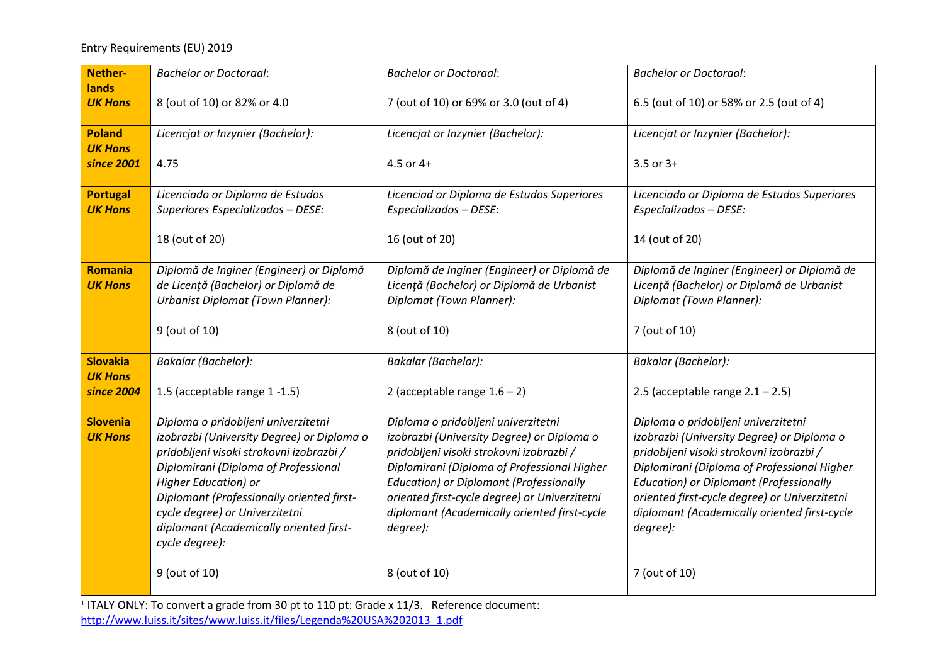| Nether-                           | <b>Bachelor or Doctoraal:</b>                                                                                                                                                                                                                                                                                                             | <b>Bachelor or Doctoraal:</b>                                                                                                                                                                                                                                                                                                               | <b>Bachelor or Doctoraal:</b>                                                                                                                                                                                                                                                                                                               |
|-----------------------------------|-------------------------------------------------------------------------------------------------------------------------------------------------------------------------------------------------------------------------------------------------------------------------------------------------------------------------------------------|---------------------------------------------------------------------------------------------------------------------------------------------------------------------------------------------------------------------------------------------------------------------------------------------------------------------------------------------|---------------------------------------------------------------------------------------------------------------------------------------------------------------------------------------------------------------------------------------------------------------------------------------------------------------------------------------------|
| lands<br><b>UK Hons</b>           | 8 (out of 10) or 82% or 4.0                                                                                                                                                                                                                                                                                                               | 7 (out of 10) or 69% or 3.0 (out of 4)                                                                                                                                                                                                                                                                                                      | 6.5 (out of 10) or 58% or 2.5 (out of 4)                                                                                                                                                                                                                                                                                                    |
| <b>Poland</b><br><b>UK Hons</b>   | Licencjat or Inzynier (Bachelor):                                                                                                                                                                                                                                                                                                         | Licencjat or Inzynier (Bachelor):                                                                                                                                                                                                                                                                                                           | Licencjat or Inzynier (Bachelor):                                                                                                                                                                                                                                                                                                           |
| since 2001                        | 4.75                                                                                                                                                                                                                                                                                                                                      | $4.5$ or $4+$                                                                                                                                                                                                                                                                                                                               | $3.5$ or $3+$                                                                                                                                                                                                                                                                                                                               |
| <b>Portugal</b><br><b>UK Hons</b> | Licenciado or Diploma de Estudos<br>Superiores Especializados - DESE:                                                                                                                                                                                                                                                                     | Licenciad or Diploma de Estudos Superiores<br>Especializados - DESE:                                                                                                                                                                                                                                                                        | Licenciado or Diploma de Estudos Superiores<br>Especializados - DESE:                                                                                                                                                                                                                                                                       |
|                                   | 18 (out of 20)                                                                                                                                                                                                                                                                                                                            | 16 (out of 20)                                                                                                                                                                                                                                                                                                                              | 14 (out of 20)                                                                                                                                                                                                                                                                                                                              |
| <b>Romania</b><br><b>UK Hons</b>  | Diplomă de Inginer (Engineer) or Diplomă<br>de Licență (Bachelor) or Diplomă de<br>Urbanist Diplomat (Town Planner):                                                                                                                                                                                                                      | Diplomă de Inginer (Engineer) or Diplomă de<br>Licență (Bachelor) or Diplomă de Urbanist<br>Diplomat (Town Planner):                                                                                                                                                                                                                        | Diplomă de Inginer (Engineer) or Diplomă de<br>Licență (Bachelor) or Diplomă de Urbanist<br>Diplomat (Town Planner):                                                                                                                                                                                                                        |
|                                   | 9 (out of 10)                                                                                                                                                                                                                                                                                                                             | 8 (out of 10)                                                                                                                                                                                                                                                                                                                               | 7 (out of 10)                                                                                                                                                                                                                                                                                                                               |
| <b>Slovakia</b>                   | <b>Bakalar</b> (Bachelor):                                                                                                                                                                                                                                                                                                                | <b>Bakalar</b> (Bachelor):                                                                                                                                                                                                                                                                                                                  | <b>Bakalar</b> (Bachelor):                                                                                                                                                                                                                                                                                                                  |
| <b>UK Hons</b><br>since 2004      | 1.5 (acceptable range 1-1.5)                                                                                                                                                                                                                                                                                                              | 2 (acceptable range $1.6 - 2$ )                                                                                                                                                                                                                                                                                                             | 2.5 (acceptable range $2.1 - 2.5$ )                                                                                                                                                                                                                                                                                                         |
| <b>Slovenia</b><br><b>UK Hons</b> | Diploma o pridobljeni univerzitetni<br>izobrazbi (University Degree) or Diploma o<br>pridobljeni visoki strokovni izobrazbi /<br>Diplomirani (Diploma of Professional<br>Higher Education) or<br>Diplomant (Professionally oriented first-<br>cycle degree) or Univerzitetni<br>diplomant (Academically oriented first-<br>cycle degree): | Diploma o pridobljeni univerzitetni<br>izobrazbi (University Degree) or Diploma o<br>pridobljeni visoki strokovni izobrazbi /<br>Diplomirani (Diploma of Professional Higher<br><b>Education) or Diplomant (Professionally</b><br>oriented first-cycle degree) or Univerzitetni<br>diplomant (Academically oriented first-cycle<br>degree): | Diploma o pridobljeni univerzitetni<br>izobrazbi (University Degree) or Diploma o<br>pridobljeni visoki strokovni izobrazbi /<br>Diplomirani (Diploma of Professional Higher<br><b>Education) or Diplomant (Professionally</b><br>oriented first-cycle degree) or Univerzitetni<br>diplomant (Academically oriented first-cycle<br>degree): |
|                                   | 9 (out of 10)                                                                                                                                                                                                                                                                                                                             | 8 (out of 10)                                                                                                                                                                                                                                                                                                                               | 7 (out of 10)                                                                                                                                                                                                                                                                                                                               |

 $\frac{1}{1}$  ITALY ONLY: To convert a grade from 30 pt to 110 pt: Grade x 11/3. Reference document:

[http://www.luiss.it/sites/www.luiss.it/files/Legenda%20USA%202013\\_1.pdf](http://www.luiss.it/sites/www.luiss.it/files/Legenda%20USA%202013_1.pdf)